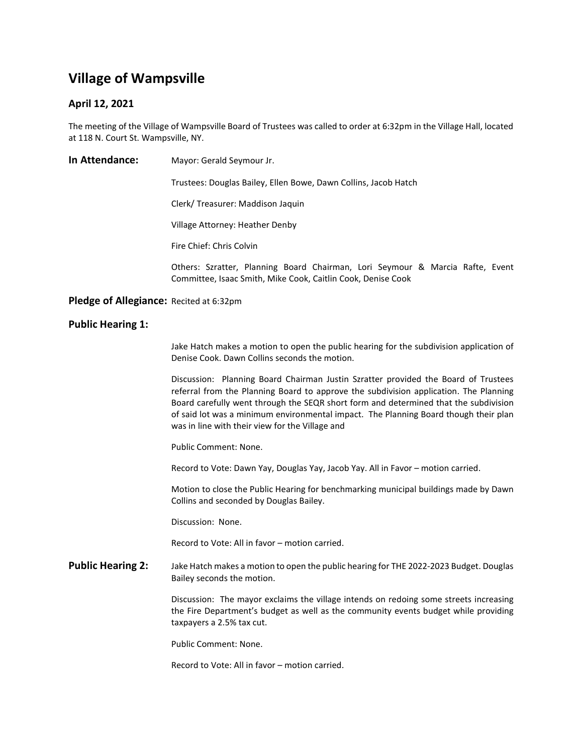# Village of Wampsville

## April 12, 2021

The meeting of the Village of Wampsville Board of Trustees was called to order at 6:32pm in the Village Hall, located at 118 N. Court St. Wampsville, NY.

In Attendance: Mayor: Gerald Seymour Jr.

Trustees: Douglas Bailey, Ellen Bowe, Dawn Collins, Jacob Hatch

Clerk/ Treasurer: Maddison Jaquin

Village Attorney: Heather Denby

Fire Chief: Chris Colvin

Others: Szratter, Planning Board Chairman, Lori Seymour & Marcia Rafte, Event Committee, Isaac Smith, Mike Cook, Caitlin Cook, Denise Cook

### Pledge of Allegiance: Recited at 6:32pm

#### Public Hearing 1:

 Jake Hatch makes a motion to open the public hearing for the subdivision application of Denise Cook. Dawn Collins seconds the motion.

Discussion: Planning Board Chairman Justin Szratter provided the Board of Trustees referral from the Planning Board to approve the subdivision application. The Planning Board carefully went through the SEQR short form and determined that the subdivision of said lot was a minimum environmental impact. The Planning Board though their plan was in line with their view for the Village and

Public Comment: None.

Record to Vote: Dawn Yay, Douglas Yay, Jacob Yay. All in Favor – motion carried.

 Motion to close the Public Hearing for benchmarking municipal buildings made by Dawn Collins and seconded by Douglas Bailey.

Discussion: None.

Record to Vote: All in favor – motion carried.

Public Hearing 2: Jake Hatch makes a motion to open the public hearing for THE 2022-2023 Budget. Douglas Bailey seconds the motion.

> Discussion: The mayor exclaims the village intends on redoing some streets increasing the Fire Department's budget as well as the community events budget while providing taxpayers a 2.5% tax cut.

Public Comment: None.

Record to Vote: All in favor – motion carried.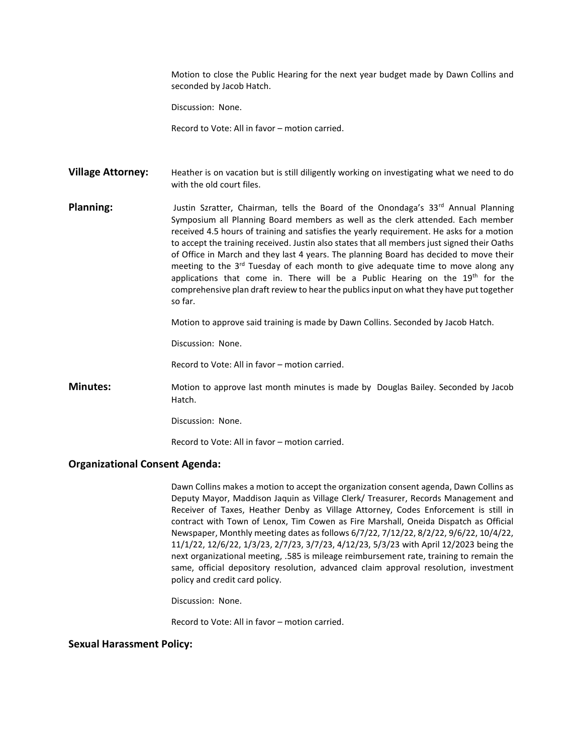Motion to close the Public Hearing for the next year budget made by Dawn Collins and seconded by Jacob Hatch.

Discussion: None.

Record to Vote: All in favor – motion carried.

Village Attorney: Heather is on vacation but is still diligently working on investigating what we need to do with the old court files.

Planning: Justin Szratter, Chairman, tells the Board of the Onondaga's 33<sup>rd</sup> Annual Planning Symposium all Planning Board members as well as the clerk attended. Each member received 4.5 hours of training and satisfies the yearly requirement. He asks for a motion to accept the training received. Justin also states that all members just signed their Oaths of Office in March and they last 4 years. The planning Board has decided to move their meeting to the  $3<sup>rd</sup>$  Tuesday of each month to give adequate time to move along any applications that come in. There will be a Public Hearing on the 19<sup>th</sup> for the comprehensive plan draft review to hear the publics input on what they have put together so far.

Motion to approve said training is made by Dawn Collins. Seconded by Jacob Hatch.

Discussion: None.

Record to Vote: All in favor – motion carried.

**Minutes:** Motion to approve last month minutes is made by Douglas Bailey. Seconded by Jacob Hatch.

Discussion: None.

Record to Vote: All in favor – motion carried.

#### Organizational Consent Agenda:

Dawn Collins makes a motion to accept the organization consent agenda, Dawn Collins as Deputy Mayor, Maddison Jaquin as Village Clerk/ Treasurer, Records Management and Receiver of Taxes, Heather Denby as Village Attorney, Codes Enforcement is still in contract with Town of Lenox, Tim Cowen as Fire Marshall, Oneida Dispatch as Official Newspaper, Monthly meeting dates as follows 6/7/22, 7/12/22, 8/2/22, 9/6/22, 10/4/22, 11/1/22, 12/6/22, 1/3/23, 2/7/23, 3/7/23, 4/12/23, 5/3/23 with April 12/2023 being the next organizational meeting, .585 is mileage reimbursement rate, training to remain the same, official depository resolution, advanced claim approval resolution, investment policy and credit card policy.

Discussion: None.

Record to Vote: All in favor – motion carried.

### Sexual Harassment Policy: